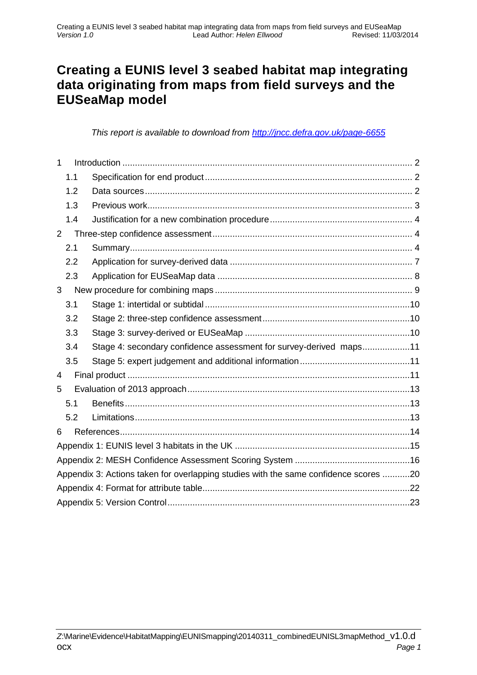## **Creating a EUNIS level 3 seabed habitat map integrating data originating from maps from field surveys and the EUSeaMap model**

*This report is available to download from<http://jncc.defra.gov.uk/page-6655>*

| $\mathbf{1}$   |                                                                                      |                                                                    |  |  |  |  |  |
|----------------|--------------------------------------------------------------------------------------|--------------------------------------------------------------------|--|--|--|--|--|
|                | 1.1                                                                                  |                                                                    |  |  |  |  |  |
|                | 1.2                                                                                  |                                                                    |  |  |  |  |  |
|                | 1.3                                                                                  |                                                                    |  |  |  |  |  |
|                | 1.4                                                                                  |                                                                    |  |  |  |  |  |
| $\overline{2}$ |                                                                                      |                                                                    |  |  |  |  |  |
|                | 2.1                                                                                  |                                                                    |  |  |  |  |  |
|                | 2.2                                                                                  |                                                                    |  |  |  |  |  |
|                | 2.3                                                                                  |                                                                    |  |  |  |  |  |
| 3              |                                                                                      |                                                                    |  |  |  |  |  |
|                | 3.1                                                                                  |                                                                    |  |  |  |  |  |
|                | 3.2                                                                                  |                                                                    |  |  |  |  |  |
|                | 3.3                                                                                  |                                                                    |  |  |  |  |  |
|                | 3.4                                                                                  | Stage 4: secondary confidence assessment for survey-derived maps11 |  |  |  |  |  |
|                | 3.5                                                                                  |                                                                    |  |  |  |  |  |
| 4              |                                                                                      |                                                                    |  |  |  |  |  |
| 5              |                                                                                      |                                                                    |  |  |  |  |  |
|                | 5.1                                                                                  |                                                                    |  |  |  |  |  |
|                | 5.2                                                                                  |                                                                    |  |  |  |  |  |
| 6              |                                                                                      |                                                                    |  |  |  |  |  |
|                |                                                                                      |                                                                    |  |  |  |  |  |
|                |                                                                                      |                                                                    |  |  |  |  |  |
|                | Appendix 3: Actions taken for overlapping studies with the same confidence scores 20 |                                                                    |  |  |  |  |  |
|                |                                                                                      |                                                                    |  |  |  |  |  |
|                |                                                                                      |                                                                    |  |  |  |  |  |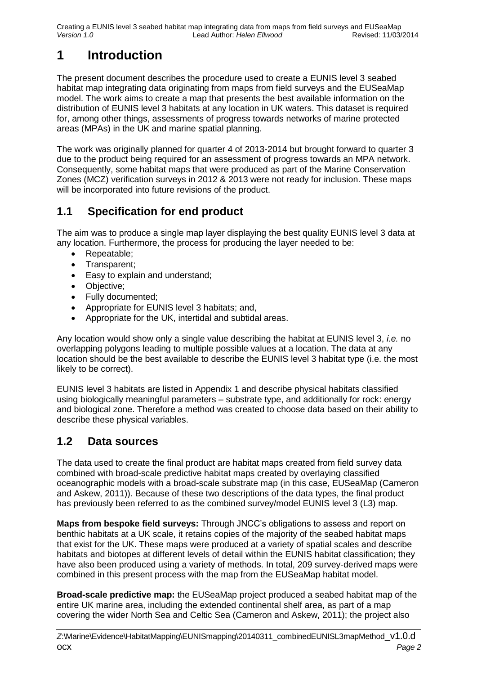Creating a EUNIS level 3 seabed habitat map integrating data from maps from field surveys and EUSeaMap<br>Version 1.0 Revised: 11/03/2014 *Version 1.0* Lead Author: *Helen Ellwood* 

# <span id="page-1-0"></span>**1 Introduction**

The present document describes the procedure used to create a EUNIS level 3 seabed habitat map integrating data originating from maps from field surveys and the EUSeaMap model. The work aims to create a map that presents the best available information on the distribution of EUNIS level 3 habitats at any location in UK waters. This dataset is required for, among other things, assessments of progress towards networks of marine protected areas (MPAs) in the UK and marine spatial planning.

The work was originally planned for quarter 4 of 2013-2014 but brought forward to quarter 3 due to the product being required for an assessment of progress towards an MPA network. Consequently, some habitat maps that were produced as part of the Marine Conservation Zones (MCZ) verification surveys in 2012 & 2013 were not ready for inclusion. These maps will be incorporated into future revisions of the product.

## <span id="page-1-1"></span>**1.1 Specification for end product**

The aim was to produce a single map layer displaying the best quality EUNIS level 3 data at any location. Furthermore, the process for producing the layer needed to be:

- Repeatable:
- Transparent;
- Easy to explain and understand;
- Objective:
- Fully documented;
- Appropriate for EUNIS level 3 habitats; and,
- Appropriate for the UK, intertidal and subtidal areas.

Any location would show only a single value describing the habitat at EUNIS level 3, *i.e.* no overlapping polygons leading to multiple possible values at a location. The data at any location should be the best available to describe the EUNIS level 3 habitat type (i.e. the most likely to be correct).

EUNIS level 3 habitats are listed in Appendix 1 and describe physical habitats classified using biologically meaningful parameters – substrate type, and additionally for rock: energy and biological zone. Therefore a method was created to choose data based on their ability to describe these physical variables.

## <span id="page-1-2"></span>**1.2 Data sources**

The data used to create the final product are habitat maps created from field survey data combined with broad-scale predictive habitat maps created by overlaying classified oceanographic models with a broad-scale substrate map (in this case, EUSeaMap (Cameron and Askew, 2011)). Because of these two descriptions of the data types, the final product has previously been referred to as the combined survey/model EUNIS level 3 (L3) map.

**Maps from bespoke field surveys:** Through JNCC's obligations to assess and report on benthic habitats at a UK scale, it retains copies of the majority of the seabed habitat maps that exist for the UK. These maps were produced at a variety of spatial scales and describe habitats and biotopes at different levels of detail within the EUNIS habitat classification; they have also been produced using a variety of methods. In total, 209 survey-derived maps were combined in this present process with the map from the EUSeaMap habitat model.

**Broad-scale predictive map:** the EUSeaMap project produced a seabed habitat map of the entire UK marine area, including the extended continental shelf area, as part of a map covering the wider North Sea and Celtic Sea (Cameron and Askew, 2011); the project also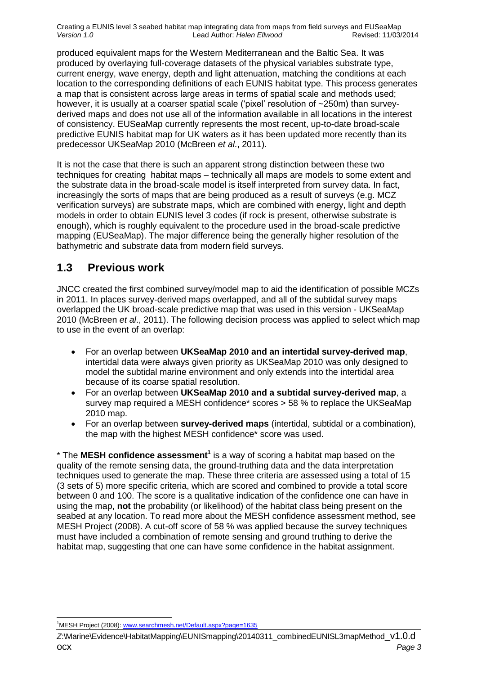Creating a EUNIS level 3 seabed habitat map integrating data from maps from field surveys and EUSeaMap<br>Version 1.0 Revised: 11/03/2014 *Version 1.0* Lead Author: *Helen Ellwood* 

produced equivalent maps for the Western Mediterranean and the Baltic Sea. It was produced by overlaying full-coverage datasets of the physical variables substrate type, current energy, wave energy, depth and light attenuation, matching the conditions at each location to the corresponding definitions of each EUNIS habitat type. This process generates a map that is consistent across large areas in terms of spatial scale and methods used; however, it is usually at a coarser spatial scale ('pixel' resolution of ~250m) than surveyderived maps and does not use all of the information available in all locations in the interest of consistency. EUSeaMap currently represents the most recent, up-to-date broad-scale predictive EUNIS habitat map for UK waters as it has been updated more recently than its predecessor UKSeaMap 2010 (McBreen *et al*., 2011).

It is not the case that there is such an apparent strong distinction between these two techniques for creating habitat maps – technically all maps are models to some extent and the substrate data in the broad-scale model is itself interpreted from survey data. In fact, increasingly the sorts of maps that are being produced as a result of surveys (e.g. MCZ verification surveys) are substrate maps, which are combined with energy, light and depth models in order to obtain EUNIS level 3 codes (if rock is present, otherwise substrate is enough), which is roughly equivalent to the procedure used in the broad-scale predictive mapping (EUSeaMap). The major difference being the generally higher resolution of the bathymetric and substrate data from modern field surveys.

### <span id="page-2-0"></span>**1.3 Previous work**

JNCC created the first combined survey/model map to aid the identification of possible MCZs in 2011. In places survey-derived maps overlapped, and all of the subtidal survey maps overlapped the UK broad-scale predictive map that was used in this version - UKSeaMap 2010 (McBreen *et al*., 2011). The following decision process was applied to select which map to use in the event of an overlap:

- For an overlap between **UKSeaMap 2010 and an intertidal survey-derived map**, intertidal data were always given priority as UKSeaMap 2010 was only designed to model the subtidal marine environment and only extends into the intertidal area because of its coarse spatial resolution.
- For an overlap between **UKSeaMap 2010 and a subtidal survey-derived map**, a survey map required a MESH confidence\* scores > 58 % to replace the UKSeaMap 2010 map.
- For an overlap between **survey-derived maps** (intertidal, subtidal or a combination), the map with the highest MESH confidence\* score was used.

\* The **MESH confidence assessment<sup>1</sup>** is a way of scoring a habitat map based on the quality of the remote sensing data, the ground-truthing data and the data interpretation techniques used to generate the map. These three criteria are assessed using a total of 15 (3 sets of 5) more specific criteria, which are scored and combined to provide a total score between 0 and 100. The score is a qualitative indication of the confidence one can have in using the map, **not** the probability (or likelihood) of the habitat class being present on the seabed at any location. To read more about the MESH confidence assessment method, see MESH Project (2008). A cut-off score of 58 % was applied because the survey techniques must have included a combination of remote sensing and ground truthing to derive the habitat map, suggesting that one can have some confidence in the habitat assignment.

 $\overline{a}$ <sup>1</sup>MESH Project (2008)[: www.searchmesh.net/Default.aspx?page=1635](http://www.searchmesh.net/Default.aspx?page=1635)

*Z*:\Marine\Evidence\HabitatMapping\EUNISmapping\20140311\_combinedEUNISL3mapMethod\_v1.0.d ocx *Page 3*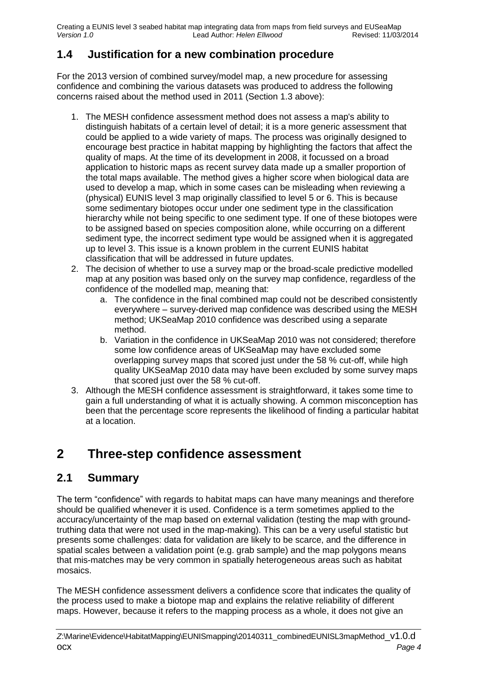Creating a EUNIS level 3 seabed habitat map integrating data from maps from field surveys and EUSeaMap<br>Version 1.0 Lead Author: Helen Ellwood Revised: 11/03/2014 *Version 1.0* Lead Author: *Helen Ellwood* 

## <span id="page-3-0"></span>**1.4 Justification for a new combination procedure**

For the 2013 version of combined survey/model map, a new procedure for assessing confidence and combining the various datasets was produced to address the following concerns raised about the method used in 2011 (Section [1.3](#page-2-0) above):

- 1. The MESH confidence assessment method does not assess a map's ability to distinguish habitats of a certain level of detail; it is a more generic assessment that could be applied to a wide variety of maps. The process was originally designed to encourage best practice in habitat mapping by highlighting the factors that affect the quality of maps. At the time of its development in 2008, it focussed on a broad application to historic maps as recent survey data made up a smaller proportion of the total maps available. The method gives a higher score when biological data are used to develop a map, which in some cases can be misleading when reviewing a (physical) EUNIS level 3 map originally classified to level 5 or 6. This is because some sedimentary biotopes occur under one sediment type in the classification hierarchy while not being specific to one sediment type. If one of these biotopes were to be assigned based on species composition alone, while occurring on a different sediment type, the incorrect sediment type would be assigned when it is aggregated up to level 3. This issue is a known problem in the current EUNIS habitat classification that will be addressed in future updates.
- 2. The decision of whether to use a survey map or the broad-scale predictive modelled map at any position was based only on the survey map confidence, regardless of the confidence of the modelled map, meaning that:
	- a. The confidence in the final combined map could not be described consistently everywhere – survey-derived map confidence was described using the MESH method; UKSeaMap 2010 confidence was described using a separate method.
	- b. Variation in the confidence in UKSeaMap 2010 was not considered; therefore some low confidence areas of UKSeaMap may have excluded some overlapping survey maps that scored just under the 58 % cut-off, while high quality UKSeaMap 2010 data may have been excluded by some survey maps that scored just over the 58 % cut-off.
- 3. Although the MESH confidence assessment is straightforward, it takes some time to gain a full understanding of what it is actually showing. A common misconception has been that the percentage score represents the likelihood of finding a particular habitat at a location.

# <span id="page-3-1"></span>**2 Three-step confidence assessment**

## <span id="page-3-2"></span>**2.1 Summary**

The term "confidence" with regards to habitat maps can have many meanings and therefore should be qualified whenever it is used. Confidence is a term sometimes applied to the accuracy/uncertainty of the map based on external validation (testing the map with groundtruthing data that were not used in the map-making). This can be a very useful statistic but presents some challenges: data for validation are likely to be scarce, and the difference in spatial scales between a validation point (e.g. grab sample) and the map polygons means that mis-matches may be very common in spatially heterogeneous areas such as habitat mosaics.

The MESH confidence assessment delivers a confidence score that indicates the quality of the process used to make a biotope map and explains the relative reliability of different maps. However, because it refers to the mapping process as a whole, it does not give an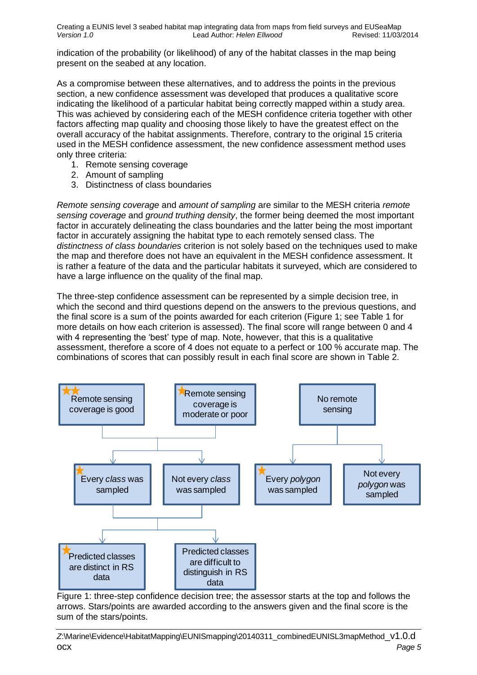Creating a EUNIS level 3 seabed habitat map integrating data from maps from field surveys and EUSeaMap<br>Version 1.0 Revised: 11/03/2014 *Version 1.0* Lead Author: *Helen Ellwood* 

indication of the probability (or likelihood) of any of the habitat classes in the map being present on the seabed at any location.

As a compromise between these alternatives, and to address the points in the previous section, a new confidence assessment was developed that produces a qualitative score indicating the likelihood of a particular habitat being correctly mapped within a study area. This was achieved by considering each of the MESH confidence criteria together with other factors affecting map quality and choosing those likely to have the greatest effect on the overall accuracy of the habitat assignments. Therefore, contrary to the original 15 criteria used in the MESH confidence assessment, the new confidence assessment method uses only three criteria:

- 1. Remote sensing coverage
- 2. Amount of sampling
- 3. Distinctness of class boundaries

*Remote sensing coverage* and *amount of sampling* are similar to the MESH criteria *remote sensing coverage* and *ground truthing density*, the former being deemed the most important factor in accurately delineating the class boundaries and the latter being the most important factor in accurately assigning the habitat type to each remotely sensed class. The *distinctness of class boundaries* criterion is not solely based on the techniques used to make the map and therefore does not have an equivalent in the MESH confidence assessment. It is rather a feature of the data and the particular habitats it surveyed, which are considered to have a large influence on the quality of the final map.

The three-step confidence assessment can be represented by a simple decision tree, in which the second and third questions depend on the answers to the previous questions, and the final score is a sum of the points awarded for each criterion [\(Figure 1;](#page-4-0) see [Table 1](#page-5-0) for more details on how each criterion is assessed). The final score will range between 0 and 4 with 4 representing the 'best' type of map. Note, however, that this is a qualitative assessment, therefore a score of 4 does not equate to a perfect or 100 % accurate map. The combinations of scores that can possibly result in each final score are shown in [Table 2.](#page-6-1)



<span id="page-4-0"></span>Figure 1: three-step confidence decision tree; the assessor starts at the top and follows the arrows. Stars/points are awarded according to the answers given and the final score is the sum of the stars/points.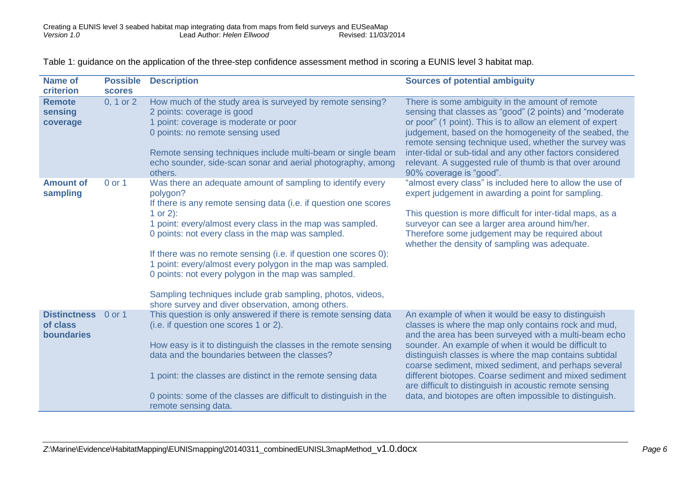Table 1: guidance on the application of the three-step confidence assessment method in scoring a EUNIS level 3 habitat map.

<span id="page-5-0"></span>

| <b>Name of</b><br>criterion                   | <b>Possible</b><br><b>scores</b> | <b>Description</b>                                                                                                                                                                                                                                                                                                                                                                                                                                                                                                                                                                   | <b>Sources of potential ambiguity</b>                                                                                                                                                                                                                                                                                                                                                                                                                                                                                         |
|-----------------------------------------------|----------------------------------|--------------------------------------------------------------------------------------------------------------------------------------------------------------------------------------------------------------------------------------------------------------------------------------------------------------------------------------------------------------------------------------------------------------------------------------------------------------------------------------------------------------------------------------------------------------------------------------|-------------------------------------------------------------------------------------------------------------------------------------------------------------------------------------------------------------------------------------------------------------------------------------------------------------------------------------------------------------------------------------------------------------------------------------------------------------------------------------------------------------------------------|
| <b>Remote</b><br>sensing<br>coverage          | 0, 1 or 2                        | How much of the study area is surveyed by remote sensing?<br>2 points: coverage is good<br>1 point: coverage is moderate or poor<br>0 points: no remote sensing used<br>Remote sensing techniques include multi-beam or single beam<br>echo sounder, side-scan sonar and aerial photography, among<br>others.                                                                                                                                                                                                                                                                        | There is some ambiguity in the amount of remote<br>sensing that classes as "good" (2 points) and "moderate<br>or poor" (1 point). This is to allow an element of expert<br>judgement, based on the homogeneity of the seabed, the<br>remote sensing technique used, whether the survey was<br>inter-tidal or sub-tidal and any other factors considered<br>relevant. A suggested rule of thumb is that over around<br>90% coverage is "good".                                                                                 |
| <b>Amount of</b><br>sampling                  | 0 or 1                           | Was there an adequate amount of sampling to identify every<br>polygon?<br>If there is any remote sensing data (i.e. if question one scores<br>1 or 2):<br>1 point: every/almost every class in the map was sampled.<br>0 points: not every class in the map was sampled.<br>If there was no remote sensing (i.e. if question one scores 0):<br>1 point: every/almost every polygon in the map was sampled.<br>0 points: not every polygon in the map was sampled.<br>Sampling techniques include grab sampling, photos, videos,<br>shore survey and diver observation, among others. | "almost every class" is included here to allow the use of<br>expert judgement in awarding a point for sampling.<br>This question is more difficult for inter-tidal maps, as a<br>surveyor can see a larger area around him/her.<br>Therefore some judgement may be required about<br>whether the density of sampling was adequate.                                                                                                                                                                                            |
| <b>Distinctness</b><br>of class<br>boundaries | 0 or 1                           | This question is only answered if there is remote sensing data<br>(i.e. if question one scores 1 or 2).<br>How easy is it to distinguish the classes in the remote sensing<br>data and the boundaries between the classes?<br>1 point: the classes are distinct in the remote sensing data<br>0 points: some of the classes are difficult to distinguish in the<br>remote sensing data.                                                                                                                                                                                              | An example of when it would be easy to distinguish<br>classes is where the map only contains rock and mud,<br>and the area has been surveyed with a multi-beam echo<br>sounder. An example of when it would be difficult to<br>distinguish classes is where the map contains subtidal<br>coarse sediment, mixed sediment, and perhaps several<br>different biotopes. Coarse sediment and mixed sediment<br>are difficult to distinguish in acoustic remote sensing<br>data, and biotopes are often impossible to distinguish. |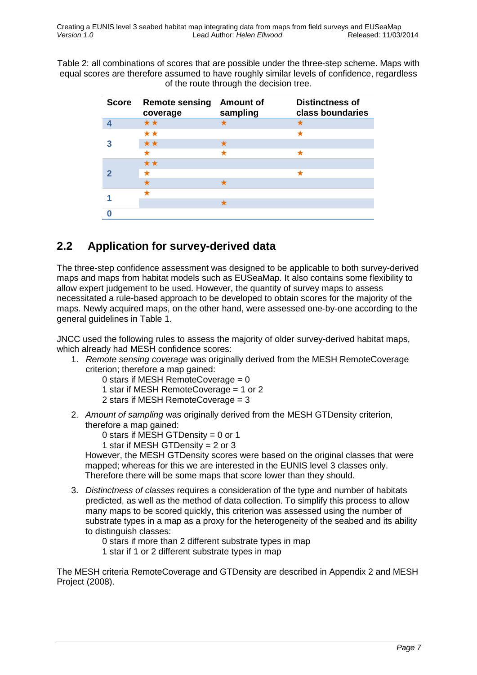<span id="page-6-1"></span>Table 2: all combinations of scores that are possible under the three-step scheme. Maps with equal scores are therefore assumed to have roughly similar levels of confidence, regardless of the route through the decision tree.

| <b>Score</b> | <b>Remote sensing</b><br>coverage | <b>Amount of</b><br>sampling | <b>Distinctness of</b><br>class boundaries |
|--------------|-----------------------------------|------------------------------|--------------------------------------------|
|              | $\star\star$                      |                              |                                            |
|              | $\star\star$                      |                              | ★                                          |
|              | **                                |                              |                                            |
|              |                                   |                              | ★                                          |
|              | **                                |                              |                                            |
|              | $\star$                           |                              |                                            |
|              |                                   |                              |                                            |
|              |                                   |                              |                                            |
|              |                                   |                              |                                            |
|              |                                   |                              |                                            |

## <span id="page-6-0"></span>**2.2 Application for survey-derived data**

The three-step confidence assessment was designed to be applicable to both survey-derived maps and maps from habitat models such as EUSeaMap. It also contains some flexibility to allow expert judgement to be used. However, the quantity of survey maps to assess necessitated a rule-based approach to be developed to obtain scores for the majority of the maps. Newly acquired maps, on the other hand, were assessed one-by-one according to the general guidelines in [Table 1.](#page-5-0)

JNCC used the following rules to assess the majority of older survey-derived habitat maps, which already had MESH confidence scores:

- 1. *Remote sensing coverage* was originally derived from the MESH RemoteCoverage criterion; therefore a map gained:
	- 0 stars if MESH RemoteCoverage = 0
	- 1 star if MESH RemoteCoverage = 1 or 2
	- 2 stars if MESH RemoteCoverage = 3
- 2. *Amount of sampling* was originally derived from the MESH GTDensity criterion, therefore a map gained:
	- 0 stars if MESH GTDensity = 0 or 1
	- 1 star if MESH GTDensity = 2 or 3

However, the MESH GTDensity scores were based on the original classes that were mapped; whereas for this we are interested in the EUNIS level 3 classes only. Therefore there will be some maps that score lower than they should.

- 3. *Distinctness of classes* requires a consideration of the type and number of habitats predicted, as well as the method of data collection. To simplify this process to allow many maps to be scored quickly, this criterion was assessed using the number of substrate types in a map as a proxy for the heterogeneity of the seabed and its ability to distinguish classes:
	- 0 stars if more than 2 different substrate types in map
	- 1 star if 1 or 2 different substrate types in map

The MESH criteria RemoteCoverage and GTDensity are described in Appendix 2 and MESH Project (2008).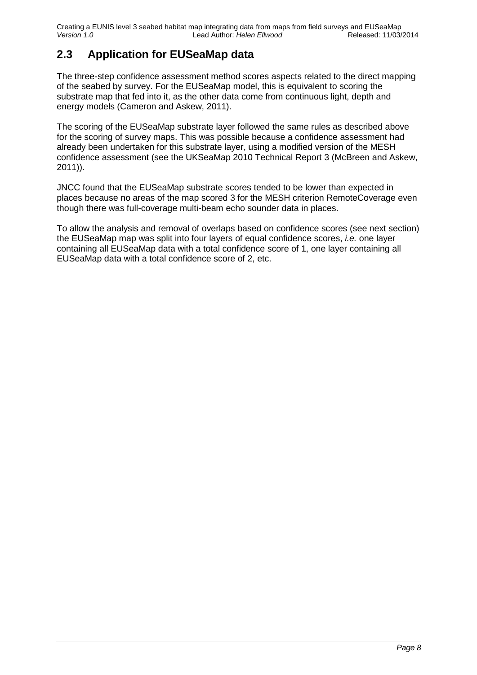Creating a EUNIS level 3 seabed habitat map integrating data from maps from field surveys and EUSeaMap<br>Version 1.0 Lead Author: Helen Ellwood Released: 11/03/2014 *Version 1.0* Lead Author: *Helen Ellwood* 

## <span id="page-7-0"></span>**2.3 Application for EUSeaMap data**

The three-step confidence assessment method scores aspects related to the direct mapping of the seabed by survey. For the EUSeaMap model, this is equivalent to scoring the substrate map that fed into it, as the other data come from continuous light, depth and energy models (Cameron and Askew, 2011).

The scoring of the EUSeaMap substrate layer followed the same rules as described above for the scoring of survey maps. This was possible because a confidence assessment had already been undertaken for this substrate layer, using a modified version of the MESH confidence assessment (see the UKSeaMap 2010 Technical Report 3 (McBreen and Askew, 2011)).

JNCC found that the EUSeaMap substrate scores tended to be lower than expected in places because no areas of the map scored 3 for the MESH criterion RemoteCoverage even though there was full-coverage multi-beam echo sounder data in places.

To allow the analysis and removal of overlaps based on confidence scores (see next section) the EUSeaMap map was split into four layers of equal confidence scores, *i.e.* one layer containing all EUSeaMap data with a total confidence score of 1, one layer containing all EUSeaMap data with a total confidence score of 2, etc.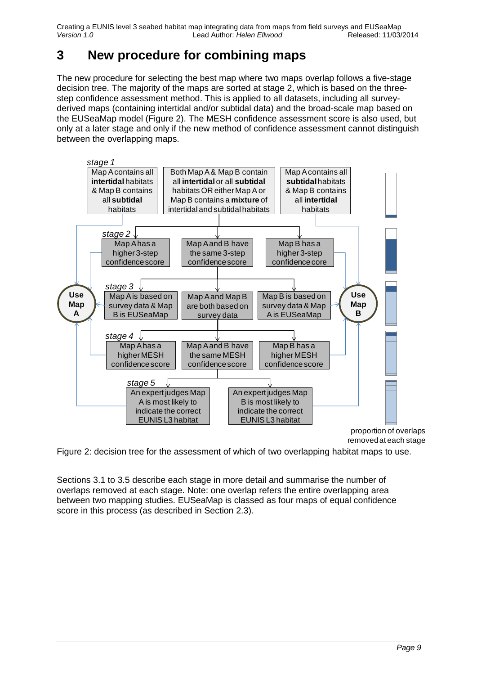Creating a EUNIS level 3 seabed habitat map integrating data from maps from field surveys and EUSeaMap<br>Version 1.0 Released: 11/03/2014 *Version 1.0* Lead Author: *Helen Ellwood* 

# <span id="page-8-0"></span>**3 New procedure for combining maps**

The new procedure for selecting the best map where two maps overlap follows a five-stage decision tree. The majority of the maps are sorted at stage 2, which is based on the threestep confidence assessment method. This is applied to all datasets, including all surveyderived maps (containing intertidal and/or subtidal data) and the broad-scale map based on the EUSeaMap model [\(Figure 2\)](#page-8-1). The MESH confidence assessment score is also used, but only at a later stage and only if the new method of confidence assessment cannot distinguish between the overlapping maps.



<span id="page-8-1"></span>Figure 2: decision tree for the assessment of which of two overlapping habitat maps to use.

Sections [3.1](#page-9-0) to [3.5](#page-10-1) describe each stage in more detail and summarise the number of overlaps removed at each stage. Note: one overlap refers the entire overlapping area between two mapping studies. EUSeaMap is classed as four maps of equal confidence score in this process (as described in Section [2.3\)](#page-7-0).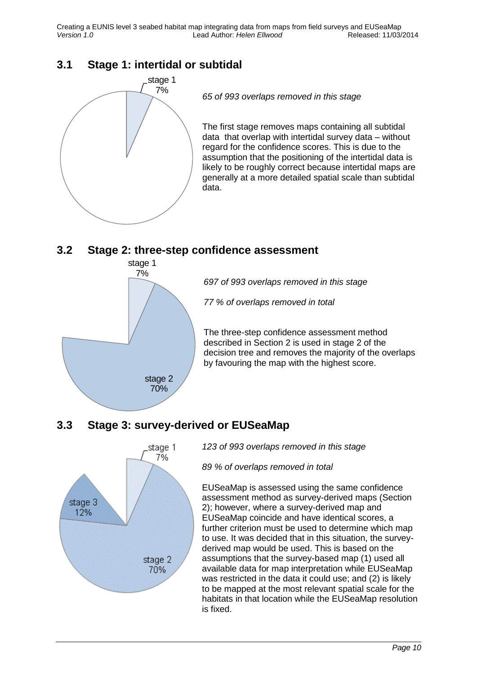Creating a EUNIS level 3 seabed habitat map integrating data from maps from field surveys and EUSeaMap<br>Version 1.0 Released: 11/03/2014 *Version 1.0* Lead Author: *Helen Ellwood* 

### <span id="page-9-0"></span>**3.1 Stage 1: intertidal or subtidal**



### <span id="page-9-1"></span>**3.2 Stage 2: three-step confidence assessment**



*697 of 993 overlaps removed in this stage*

*77 % of overlaps removed in total*

The three-step confidence assessment method described in Section [2](#page-3-1) is used in stage 2 of the decision tree and removes the majority of the overlaps by favouring the map with the highest score.

## <span id="page-9-2"></span>**3.3 Stage 3: survey-derived or EUSeaMap**



*123 of 993 overlaps removed in this stage*

*89 % of overlaps removed in total*

EUSeaMap is assessed using the same confidence assessment method as survey-derived maps (Section [2\)](#page-3-1); however, where a survey-derived map and EUSeaMap coincide and have identical scores, a further criterion must be used to determine which map to use. It was decided that in this situation, the surveyderived map would be used. This is based on the assumptions that the survey-based map (1) used all available data for map interpretation while EUSeaMap was restricted in the data it could use; and (2) is likely to be mapped at the most relevant spatial scale for the habitats in that location while the EUSeaMap resolution is fixed.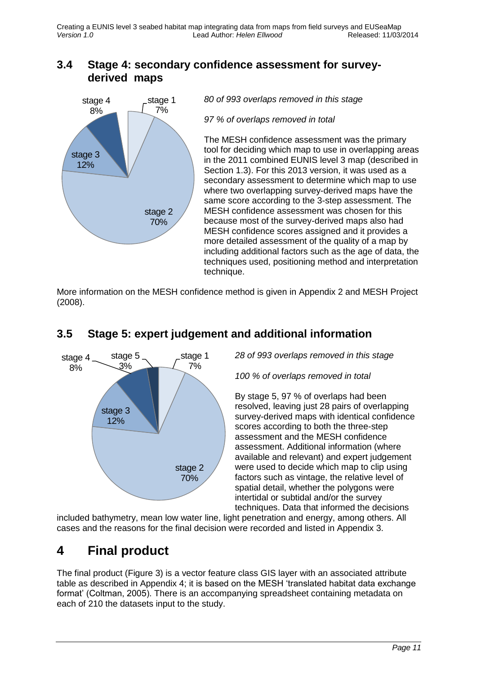### <span id="page-10-0"></span>**3.4 Stage 4: secondary confidence assessment for surveyderived maps**



*80 of 993 overlaps removed in this stage*

*97 % of overlaps removed in total*

The MESH confidence assessment was the primary tool for deciding which map to use in overlapping areas in the 2011 combined EUNIS level 3 map (described in Section [1.3\)](#page-2-0). For this 2013 version, it was used as a secondary assessment to determine which map to use where two overlapping survey-derived maps have the same score according to the 3-step assessment. The MESH confidence assessment was chosen for this because most of the survey-derived maps also had MESH confidence scores assigned and it provides a more detailed assessment of the quality of a map by including additional factors such as the age of data, the techniques used, positioning method and interpretation technique.

More information on the MESH confidence method is given in Appendix 2 and MESH Project (2008).



## <span id="page-10-1"></span>**3.5 Stage 5: expert judgement and additional information**

*28 of 993 overlaps removed in this stage*

*100 % of overlaps removed in total*

By stage 5, 97 % of overlaps had been resolved, leaving just 28 pairs of overlapping survey-derived maps with identical confidence scores according to both the three-step assessment and the MESH confidence assessment. Additional information (where available and relevant) and expert judgement were used to decide which map to clip using factors such as vintage, the relative level of spatial detail, whether the polygons were intertidal or subtidal and/or the survey techniques. Data that informed the decisions

included bathymetry, mean low water line, light penetration and energy, among others. All cases and the reasons for the final decision were recorded and listed in Appendix 3.

## <span id="page-10-2"></span>**4 Final product**

The final product [\(Figure 3\)](#page-11-0) is a vector feature class GIS layer with an associated attribute table as described in Appendix 4; it is based on the MESH 'translated habitat data exchange format' (Coltman, 2005). There is an accompanying spreadsheet containing metadata on each of 210 the datasets input to the study.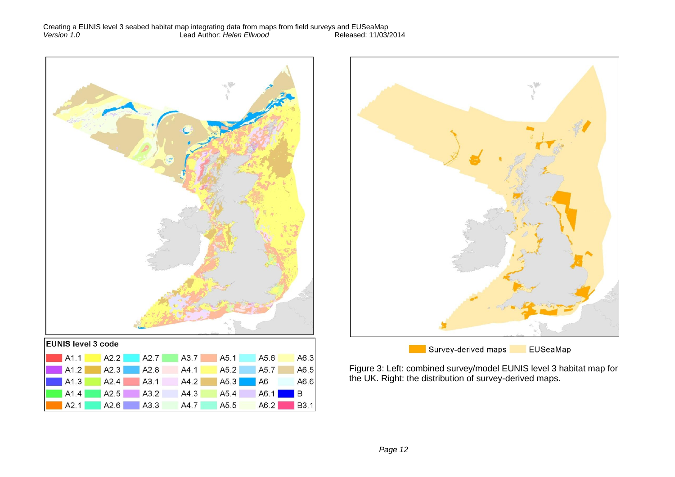



Figure 3: Left: combined survey/model EUNIS level 3 habitat map for

<span id="page-11-0"></span>the UK. Right: the distribution of survey-derived maps.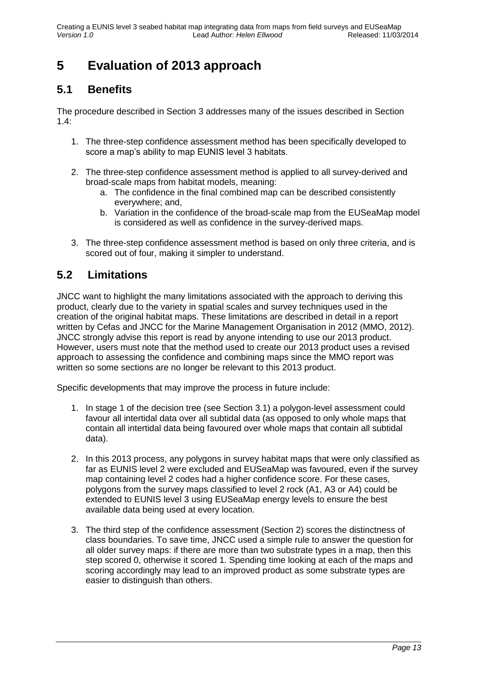# <span id="page-12-0"></span>**5 Evaluation of 2013 approach**

## <span id="page-12-1"></span>**5.1 Benefits**

The procedure described in Section [3](#page-8-0) addresses many of the issues described in Section  $1.4$ 

- 1. The three-step confidence assessment method has been specifically developed to score a map's ability to map EUNIS level 3 habitats.
- 2. The three-step confidence assessment method is applied to all survey-derived and broad-scale maps from habitat models, meaning:
	- a. The confidence in the final combined map can be described consistently everywhere; and,
	- b. Variation in the confidence of the broad-scale map from the EUSeaMap model is considered as well as confidence in the survey-derived maps.
- 3. The three-step confidence assessment method is based on only three criteria, and is scored out of four, making it simpler to understand.

## <span id="page-12-2"></span>**5.2 Limitations**

JNCC want to highlight the many limitations associated with the approach to deriving this product, clearly due to the variety in spatial scales and survey techniques used in the creation of the original habitat maps. These limitations are described in detail in a report written by Cefas and JNCC for the Marine Management Organisation in 2012 (MMO, 2012). JNCC strongly advise this report is read by anyone intending to use our 2013 product. However, users must note that the method used to create our 2013 product uses a revised approach to assessing the confidence and combining maps since the MMO report was written so some sections are no longer be relevant to this 2013 product.

Specific developments that may improve the process in future include:

- 1. In stage 1 of the decision tree (see Section [3.1\)](#page-9-0) a polygon-level assessment could favour all intertidal data over all subtidal data (as opposed to only whole maps that contain all intertidal data being favoured over whole maps that contain all subtidal data).
- 2. In this 2013 process, any polygons in survey habitat maps that were only classified as far as EUNIS level 2 were excluded and EUSeaMap was favoured, even if the survey map containing level 2 codes had a higher confidence score. For these cases, polygons from the survey maps classified to level 2 rock (A1, A3 or A4) could be extended to EUNIS level 3 using EUSeaMap energy levels to ensure the best available data being used at every location.
- 3. The third step of the confidence assessment (Section [2\)](#page-3-1) scores the distinctness of class boundaries. To save time, JNCC used a simple rule to answer the question for all older survey maps: if there are more than two substrate types in a map, then this step scored 0, otherwise it scored 1. Spending time looking at each of the maps and scoring accordingly may lead to an improved product as some substrate types are easier to distinguish than others.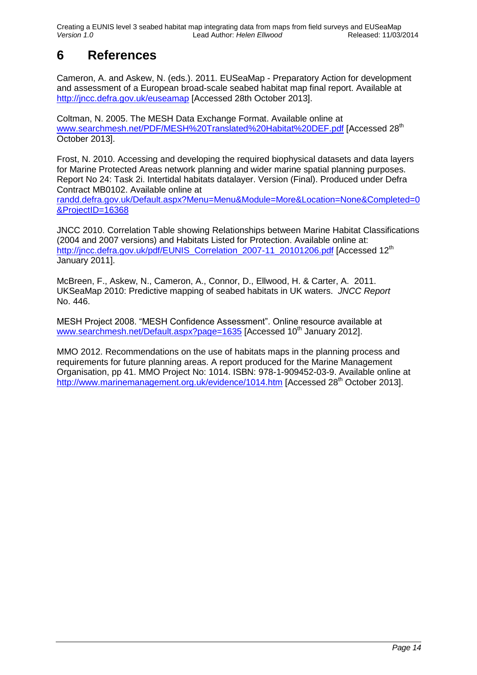Creating a EUNIS level 3 seabed habitat map integrating data from maps from field surveys and EUSeaMap<br>Version 1.0 Lead Author: Helen Ellwood Released: 11/03/2014 *Version 1.0* Lead Author: *Helen Ellwood* 

# <span id="page-13-0"></span>**6 References**

Cameron, A. and Askew, N. (eds.). 2011. EUSeaMap - Preparatory Action for development and assessment of a European broad-scale seabed habitat map final report. Available at <http://jncc.defra.gov.uk/euseamap> [Accessed 28th October 2013].

Coltman, N. 2005. The MESH Data Exchange Format. Available online at [www.searchmesh.net/PDF/MESH%20Translated%20Habitat%20DEF.pdf](http://www.searchmesh.net/PDF/MESH%20Translated%20Habitat%20DEF.pdf) [Accessed 28<sup>th</sup> October 2013].

Frost, N. 2010. Accessing and developing the required biophysical datasets and data layers for Marine Protected Areas network planning and wider marine spatial planning purposes. Report No 24: Task 2i. Intertidal habitats datalayer. Version (Final). Produced under Defra Contract MB0102. Available online at

[randd.defra.gov.uk/Default.aspx?Menu=Menu&Module=More&Location=None&Completed=0](http://randd.defra.gov.uk/Default.aspx?Menu=Menu&Module=More&Location=None&Completed=0&ProjectID=16368) [&ProjectID=16368](http://randd.defra.gov.uk/Default.aspx?Menu=Menu&Module=More&Location=None&Completed=0&ProjectID=16368)

JNCC 2010. Correlation Table showing Relationships between Marine Habitat Classifications (2004 and 2007 versions) and Habitats Listed for Protection. Available online at: [http://jncc.defra.gov.uk/pdf/EUNIS\\_Correlation\\_2007-11\\_20101206.pdf](http://www.jncc.gov.uk/pdf/EUNIS_Correlation_2007-11_20101206.pdf) [Accessed 12<sup>th</sup> January 2011].

McBreen, F., Askew, N., Cameron, A., Connor, D., Ellwood, H. & Carter, A. 2011. UKSeaMap 2010: Predictive mapping of seabed habitats in UK waters. *JNCC Report* No. 446.

MESH Project 2008. "MESH Confidence Assessment". Online resource available at [www.searchmesh.net/Default.aspx?page=1635](http://www.searchmesh.net/Default.aspx?page=1635) [Accessed 10<sup>th</sup> January 2012].

MMO 2012. Recommendations on the use of habitats maps in the planning process and requirements for future planning areas. A report produced for the Marine Management Organisation, pp 41. MMO Project No: 1014. ISBN: 978-1-909452-03-9. Available online at <http://www.marinemanagement.org.uk/evidence/1014.htm> [Accessed 28<sup>th</sup> October 2013].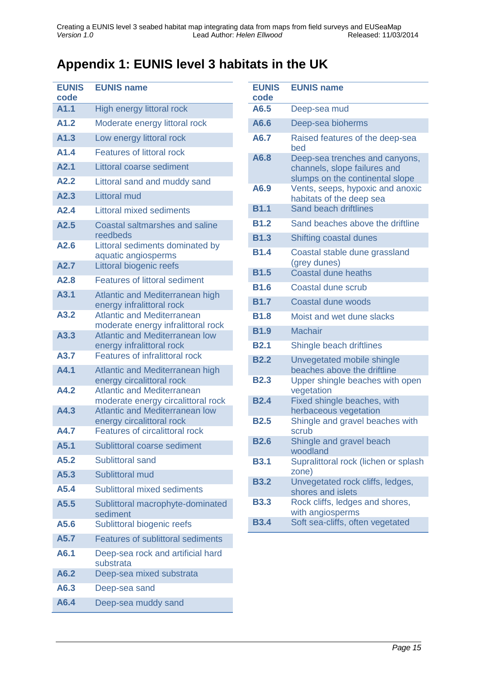# <span id="page-14-0"></span>**Appendix 1: EUNIS level 3 habitats in the UK**

| <b>EUNIS</b><br>code | <b>EUNIS name</b>                                                       |
|----------------------|-------------------------------------------------------------------------|
| A1.1                 | High energy littoral rock                                               |
| A1.2                 | Moderate energy littoral rock                                           |
| A1.3                 | Low energy littoral rock                                                |
| A1.4                 | <b>Features of littoral rock</b>                                        |
| A2.1                 | Littoral coarse sediment                                                |
| A2.2                 | Littoral sand and muddy sand                                            |
| A2.3                 | Littoral mud                                                            |
| A2.4                 | <b>Littoral mixed sediments</b>                                         |
| A2.5                 | <b>Coastal saltmarshes and saline</b><br>reedbeds                       |
| A2.6                 | Littoral sediments dominated by<br>aquatic angiosperms                  |
| A2.7                 | <b>Littoral biogenic reefs</b>                                          |
| A2.8                 | <b>Features of littoral sediment</b>                                    |
| A3.1                 | Atlantic and Mediterranean high<br>energy infralittoral rock            |
| A3.2                 | <b>Atlantic and Mediterranean</b><br>moderate energy infralittoral rock |
| A3.3                 | <b>Atlantic and Mediterranean low</b><br>energy infralittoral rock      |
| A3.7                 | <b>Features of infralittoral rock</b>                                   |
| A4.1                 | Atlantic and Mediterranean high<br>energy circalittoral rock            |
| A4.2                 | <b>Atlantic and Mediterranean</b><br>moderate energy circalittoral rock |
| A4.3                 | <b>Atlantic and Mediterranean low</b><br>energy circalittoral rock      |
| A4.7                 | <b>Features of circalittoral rock</b>                                   |
| A5.1                 | Sublittoral coarse sediment                                             |
| A5.2                 | <b>Sublittoral sand</b>                                                 |
| A5.3                 | <b>Sublittoral mud</b>                                                  |
| A5.4                 | Sublittoral mixed sediments                                             |
| A5.5                 | Sublittoral macrophyte-dominated<br>sediment                            |
| A5.6                 | Sublittoral biogenic reefs                                              |
| A5.7                 | <b>Features of sublittoral sediments</b>                                |
| A6.1                 | Deep-sea rock and artificial hard<br>substrata                          |
| A6.2                 | Deep-sea mixed substrata                                                |
| A6.3                 | Deep-sea sand                                                           |
| A6.4                 | Deep-sea muddy sand                                                     |

| <b>EUNIS</b><br>code | <b>EUNIS name</b>                                                                                 |
|----------------------|---------------------------------------------------------------------------------------------------|
| A6.5                 | Deep-sea mud                                                                                      |
| A6.6                 | Deep-sea bioherms                                                                                 |
| A6.7                 | Raised features of the deep-sea<br>bed                                                            |
| A6.8                 | Deep-sea trenches and canyons,<br>channels, slope failures and<br>slumps on the continental slope |
| A6.9                 | Vents, seeps, hypoxic and anoxic<br>habitats of the deep sea                                      |
| <b>B1.1</b>          | <b>Sand beach driftlines</b>                                                                      |
| <b>B1.2</b>          | Sand beaches above the driftline                                                                  |
| <b>B1.3</b>          | Shifting coastal dunes                                                                            |
| <b>B1.4</b>          | Coastal stable dune grassland<br>(grey dunes)                                                     |
| <b>B1.5</b>          | <b>Coastal dune heaths</b>                                                                        |
| <b>B1.6</b>          | Coastal dune scrub                                                                                |
| <b>B1.7</b>          | Coastal dune woods                                                                                |
| <b>B1.8</b>          | Moist and wet dune slacks                                                                         |
| <b>B1.9</b>          | <b>Machair</b>                                                                                    |
| <b>B2.1</b>          | Shingle beach driftlines                                                                          |
| <b>B2.2</b>          | Unvegetated mobile shingle<br>beaches above the driftline                                         |
| <b>B2.3</b>          | Upper shingle beaches with open<br>vegetation                                                     |
| <b>B2.4</b>          | Fixed shingle beaches, with<br>herbaceous vegetation                                              |
| <b>B2.5</b>          | Shingle and gravel beaches with<br>scrub                                                          |
| <b>B2.6</b>          | Shingle and gravel beach<br>woodland                                                              |
| <b>B3.1</b>          | Supralittoral rock (lichen or splash<br>zone)                                                     |
| <b>B3.2</b>          | Unvegetated rock cliffs, ledges,<br>shores and islets                                             |
| <b>B3.3</b>          | Rock cliffs, ledges and shores,<br>with angiosperms                                               |
| <b>B3.4</b>          | Soft sea-cliffs, often vegetated                                                                  |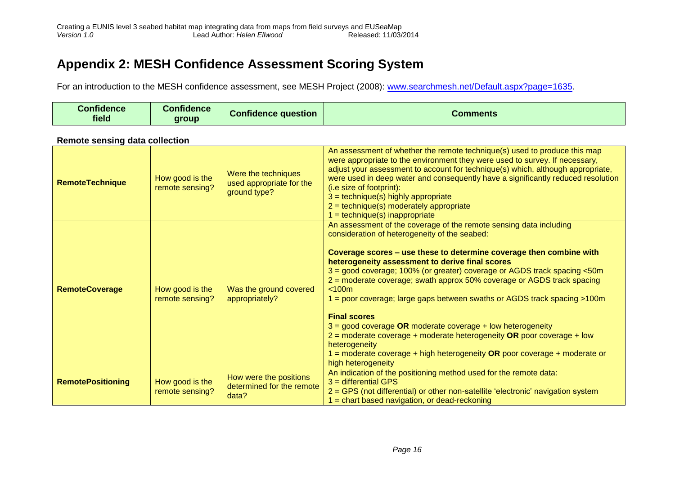## **Appendix 2: MESH Confidence Assessment Scoring System**

For an introduction to the MESH confidence assessment, see MESH Project (2008): [www.searchmesh.net/Default.aspx?page=1635.](http://www.searchmesh.net/Default.aspx?page=1635)

| <b>Confidence</b><br>field | $-1$<br>Confidence<br>group | <b>Confidence question</b> | Comments |
|----------------------------|-----------------------------|----------------------------|----------|
|                            |                             |                            |          |

#### **Remote sensing data collection**

<span id="page-15-0"></span>

| <b>RemoteTechnique</b>   | How good is the<br>remote sensing? | Were the techniques<br>used appropriate for the<br>ground type? | An assessment of whether the remote technique(s) used to produce this map<br>were appropriate to the environment they were used to survey. If necessary,<br>adjust your assessment to account for technique(s) which, although appropriate,<br>were used in deep water and consequently have a significantly reduced resolution<br>(i.e size of footprint):<br>$3 = technique(s)$ highly appropriate<br>$2 = technique(s)$ moderately appropriate<br>$1 = technique(s) in appropriate$                                                                                                                                                                                                                                                                                          |
|--------------------------|------------------------------------|-----------------------------------------------------------------|---------------------------------------------------------------------------------------------------------------------------------------------------------------------------------------------------------------------------------------------------------------------------------------------------------------------------------------------------------------------------------------------------------------------------------------------------------------------------------------------------------------------------------------------------------------------------------------------------------------------------------------------------------------------------------------------------------------------------------------------------------------------------------|
| <b>RemoteCoverage</b>    | How good is the<br>remote sensing? | Was the ground covered<br>appropriately?                        | An assessment of the coverage of the remote sensing data including<br>consideration of heterogeneity of the seabed:<br>Coverage scores - use these to determine coverage then combine with<br>heterogeneity assessment to derive final scores<br>3 = good coverage; 100% (or greater) coverage or AGDS track spacing <50m<br>2 = moderate coverage; swath approx 50% coverage or AGDS track spacing<br>< 100m<br>1 = poor coverage; large gaps between swaths or AGDS track spacing >100m<br><b>Final scores</b><br>$3 =$ good coverage OR moderate coverage + low heterogeneity<br>$2$ = moderate coverage + moderate heterogeneity OR poor coverage + low<br>heterogeneity<br>1 = moderate coverage + high heterogeneity OR poor coverage + moderate or<br>high heterogeneity |
| <b>RemotePositioning</b> | How good is the<br>remote sensing? | How were the positions<br>determined for the remote<br>data?    | An indication of the positioning method used for the remote data:<br>$3$ = differential GPS<br>2 = GPS (not differential) or other non-satellite 'electronic' navigation system<br>$=$ chart based navigation, or dead-reckoning                                                                                                                                                                                                                                                                                                                                                                                                                                                                                                                                                |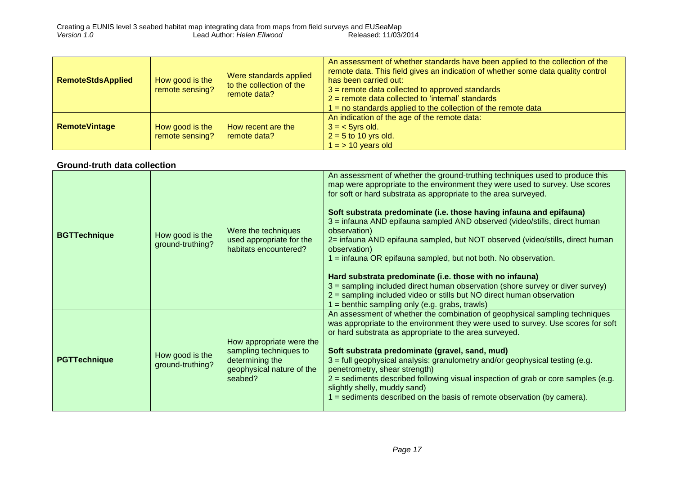| <b>RemoteStdsApplied</b> | How good is the<br>remote sensing? | Were standards applied<br>to the collection of the<br>remote data? | An assessment of whether standards have been applied to the collection of the<br>remote data. This field gives an indication of whether some data quality control<br>has been carried out:<br>$3$ = remote data collected to approved standards<br>$2$ = remote data collected to 'internal' standards<br>$=$ no standards applied to the collection of the remote data |
|--------------------------|------------------------------------|--------------------------------------------------------------------|-------------------------------------------------------------------------------------------------------------------------------------------------------------------------------------------------------------------------------------------------------------------------------------------------------------------------------------------------------------------------|
| <b>RemoteVintage</b>     | How good is the<br>remote sensing? | How recent are the<br>remote data?                                 | An indication of the age of the remote data:<br>$3 = 5$ yrs old.<br>$2 = 5$ to 10 yrs old.<br>$l = 510$ years old                                                                                                                                                                                                                                                       |

#### **Ground-truth data collection**

| <b>BGTTechnique</b> | How good is the<br>ground-truthing? | Were the techniques<br>used appropriate for the<br>habitats encountered?                                      | An assessment of whether the ground-truthing techniques used to produce this<br>map were appropriate to the environment they were used to survey. Use scores<br>for soft or hard substrata as appropriate to the area surveyed.<br>Soft substrata predominate (i.e. those having infauna and epifauna)<br>3 = infauna AND epifauna sampled AND observed (video/stills, direct human<br>observation)<br>2= infauna AND epifauna sampled, but NOT observed (video/stills, direct human<br>observation)<br>$=$ infauna OR epifauna sampled, but not both. No observation.<br>Hard substrata predominate (i.e. those with no infauna)<br>3 = sampling included direct human observation (shore survey or diver survey)<br>2 = sampling included video or stills but NO direct human observation<br>= benthic sampling only (e.g. grabs, trawls) |
|---------------------|-------------------------------------|---------------------------------------------------------------------------------------------------------------|---------------------------------------------------------------------------------------------------------------------------------------------------------------------------------------------------------------------------------------------------------------------------------------------------------------------------------------------------------------------------------------------------------------------------------------------------------------------------------------------------------------------------------------------------------------------------------------------------------------------------------------------------------------------------------------------------------------------------------------------------------------------------------------------------------------------------------------------|
| <b>PGTTechnique</b> | How good is the<br>ground-truthing? | How appropriate were the<br>sampling techniques to<br>determining the<br>geophysical nature of the<br>seabed? | An assessment of whether the combination of geophysical sampling techniques<br>was appropriate to the environment they were used to survey. Use scores for soft<br>or hard substrata as appropriate to the area surveyed.<br>Soft substrata predominate (gravel, sand, mud)<br>$3$ = full geophysical analysis: granulometry and/or geophysical testing (e.g.<br>penetrometry, shear strength)<br>2 = sediments described following visual inspection of grab or core samples (e.g.<br>slightly shelly, muddy sand)<br>$=$ sediments described on the basis of remote observation (by camera).                                                                                                                                                                                                                                              |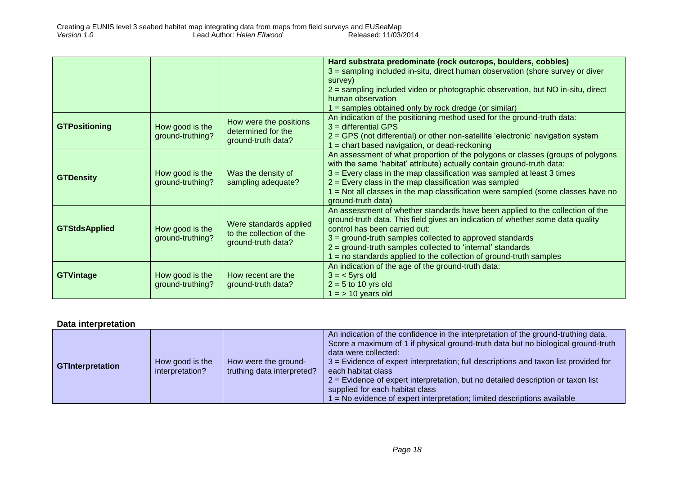|                      |                                           |                          | Hard substrata predominate (rock outcrops, boulders, cobbles)                    |
|----------------------|-------------------------------------------|--------------------------|----------------------------------------------------------------------------------|
|                      |                                           |                          | 3 = sampling included in-situ, direct human observation (shore survey or diver   |
|                      |                                           |                          | survey)                                                                          |
|                      |                                           |                          | 2 = sampling included video or photographic observation, but NO in-situ, direct  |
|                      |                                           |                          | human observation                                                                |
|                      |                                           |                          | $1 =$ samples obtained only by rock dredge (or similar)                          |
|                      |                                           | How were the positions   | An indication of the positioning method used for the ground-truth data:          |
| <b>GTPositioning</b> | How good is the                           | determined for the       | $3 =$ differential GPS                                                           |
|                      | ground-truthing?                          | ground-truth data?       | 2 = GPS (not differential) or other non-satellite 'electronic' navigation system |
|                      |                                           |                          | = chart based navigation, or dead-reckoning                                      |
|                      |                                           |                          | An assessment of what proportion of the polygons or classes (groups of polygons  |
|                      |                                           |                          | with the same 'habitat' attribute) actually contain ground-truth data:           |
| <b>GTDensity</b>     | How good is the                           | Was the density of       | 3 = Every class in the map classification was sampled at least 3 times           |
|                      | ground-truthing?                          | sampling adequate?       | $2$ = Every class in the map classification was sampled                          |
|                      |                                           |                          | = Not all classes in the map classification were sampled (some classes have no   |
|                      |                                           |                          | ground-truth data)                                                               |
|                      |                                           |                          | An assessment of whether standards have been applied to the collection of the    |
|                      | Were standards applied<br>How good is the |                          | ground-truth data. This field gives an indication of whether some data quality   |
| <b>GTStdsApplied</b> |                                           | to the collection of the | control has been carried out:                                                    |
|                      | ground-truthing?                          | ground-truth data?       | 3 = ground-truth samples collected to approved standards                         |
|                      |                                           |                          | $2 =$ ground-truth samples collected to 'internal' standards                     |
|                      |                                           |                          | = no standards applied to the collection of ground-truth samples                 |
|                      |                                           |                          | An indication of the age of the ground-truth data:                               |
| <b>GTVintage</b>     | How good is the                           | How recent are the       | $3 = 5$ yrs old                                                                  |
|                      | ground-truthing?                          | ground-truth data?       | $2 = 5$ to 10 yrs old                                                            |
|                      |                                           |                          | $1 = 10$ years old                                                               |

#### **Data interpretation**

| <b>GTInterpretation</b> | How good is the<br>interpretation? | How were the ground-<br>truthing data interpreted? | An indication of the confidence in the interpretation of the ground-truthing data.<br>Score a maximum of 1 if physical ground-truth data but no biological ground-truth<br>data were collected:<br>$3$ = Evidence of expert interpretation; full descriptions and taxon list provided for<br>each habitat class<br>$2$ = Evidence of expert interpretation, but no detailed description or taxon list<br>supplied for each habitat class<br>$\vert$ = No evidence of expert interpretation; limited descriptions available |
|-------------------------|------------------------------------|----------------------------------------------------|----------------------------------------------------------------------------------------------------------------------------------------------------------------------------------------------------------------------------------------------------------------------------------------------------------------------------------------------------------------------------------------------------------------------------------------------------------------------------------------------------------------------------|
|-------------------------|------------------------------------|----------------------------------------------------|----------------------------------------------------------------------------------------------------------------------------------------------------------------------------------------------------------------------------------------------------------------------------------------------------------------------------------------------------------------------------------------------------------------------------------------------------------------------------------------------------------------------------|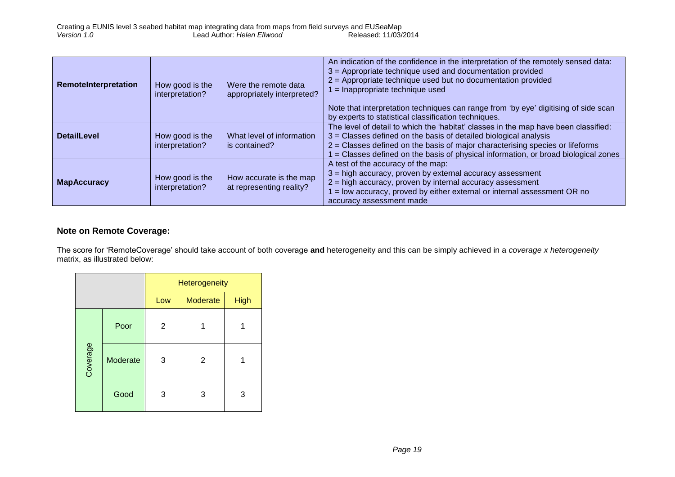| RemoteInterpretation | How good is the<br>interpretation? | Were the remote data<br>appropriately interpreted?  | An indication of the confidence in the interpretation of the remotely sensed data:<br>3 = Appropriate technique used and documentation provided<br>2 = Appropriate technique used but no documentation provided<br>= Inappropriate technique used<br>Note that interpretation techniques can range from 'by eye' digitising of side scan<br>by experts to statistical classification techniques. |
|----------------------|------------------------------------|-----------------------------------------------------|--------------------------------------------------------------------------------------------------------------------------------------------------------------------------------------------------------------------------------------------------------------------------------------------------------------------------------------------------------------------------------------------------|
| <b>DetailLevel</b>   | How good is the<br>interpretation? | What level of information<br>is contained?          | The level of detail to which the 'habitat' classes in the map have been classified:<br>$3$ = Classes defined on the basis of detailed biological analysis<br>2 = Classes defined on the basis of major characterising species or lifeforms<br>= Classes defined on the basis of physical information, or broad biological zones                                                                  |
| <b>MapAccuracy</b>   | How good is the<br>interpretation? | How accurate is the map<br>at representing reality? | A test of the accuracy of the map:<br>$3$ = high accuracy, proven by external accuracy assessment<br>$2$ = high accuracy, proven by internal accuracy assessment<br>= low accuracy, proved by either external or internal assessment OR no<br>accuracy assessment made                                                                                                                           |

#### **Note on Remote Coverage:**

The score for 'RemoteCoverage' should take account of both coverage **and** heterogeneity and this can be simply achieved in a *coverage x heterogeneity* matrix, as illustrated below:

|          |          | Heterogeneity |                 |             |  |
|----------|----------|---------------|-----------------|-------------|--|
|          |          | Low           | <b>Moderate</b> | <b>High</b> |  |
| Coverage | Poor     | 2             |                 |             |  |
|          | Moderate | 3             | 2               |             |  |
|          | Good     | 3             | 3               | 3           |  |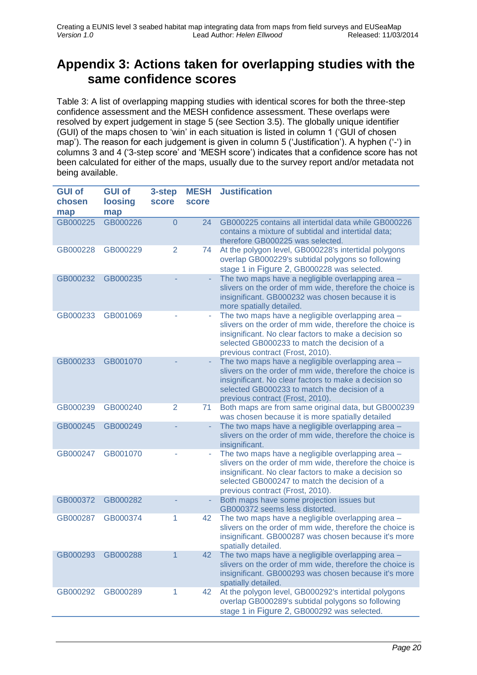## <span id="page-19-0"></span>**Appendix 3: Actions taken for overlapping studies with the same confidence scores**

Table 3: A list of overlapping mapping studies with identical scores for both the three-step confidence assessment and the MESH confidence assessment. These overlaps were resolved by expert judgement in stage 5 (see Section [3.5\)](#page-10-1). The globally unique identifier (GUI) of the maps chosen to 'win' in each situation is listed in column 1 ('GUI of chosen map'). The reason for each judgement is given in column 5 ('Justification'). A hyphen ('-') in columns 3 and 4 ('3-step score' and 'MESH score') indicates that a confidence score has not been calculated for either of the maps, usually due to the survey report and/or metadata not being available.

| <b>GUI of</b><br>chosen | <b>GUI of</b><br>loosing | 3-step<br><b>score</b> | <b>MESH</b><br>score | <b>Justification</b>                                                                                                                                                                                                                                       |
|-------------------------|--------------------------|------------------------|----------------------|------------------------------------------------------------------------------------------------------------------------------------------------------------------------------------------------------------------------------------------------------------|
| map                     | map                      |                        |                      |                                                                                                                                                                                                                                                            |
| GB000225                | GB000226                 | $\overline{0}$         | 24                   | GB000225 contains all intertidal data while GB000226<br>contains a mixture of subtidal and intertidal data;<br>therefore GB000225 was selected.                                                                                                            |
| GB000228                | GB000229                 | $\overline{2}$         | 74                   | At the polygon level, GB000228's intertidal polygons<br>overlap GB000229's subtidal polygons so following<br>stage 1 in Figure 2, GB000228 was selected.                                                                                                   |
| GB000232                | GB000235                 |                        |                      | The two maps have a negligible overlapping area -<br>slivers on the order of mm wide, therefore the choice is<br>insignificant. GB000232 was chosen because it is<br>more spatially detailed.                                                              |
| GB000233                | GB001069                 |                        |                      | The two maps have a negligible overlapping area -<br>slivers on the order of mm wide, therefore the choice is<br>insignificant. No clear factors to make a decision so<br>selected GB000233 to match the decision of a<br>previous contract (Frost, 2010). |
| GB000233                | GB001070                 |                        | ÷.                   | The two maps have a negligible overlapping area -<br>slivers on the order of mm wide, therefore the choice is<br>insignificant. No clear factors to make a decision so<br>selected GB000233 to match the decision of a<br>previous contract (Frost, 2010). |
| GB000239                | GB000240                 | $\overline{2}$         | 71                   | Both maps are from same original data, but GB000239<br>was chosen because it is more spatially detailed                                                                                                                                                    |
| GB000245                | GB000249                 |                        |                      | The two maps have a negligible overlapping area -<br>slivers on the order of mm wide, therefore the choice is<br>insignificant.                                                                                                                            |
| GB000247                | GB001070                 |                        |                      | The two maps have a negligible overlapping area -<br>slivers on the order of mm wide, therefore the choice is<br>insignificant. No clear factors to make a decision so<br>selected GB000247 to match the decision of a<br>previous contract (Frost, 2010). |
| GB000372                | GB000282                 |                        |                      | Both maps have some projection issues but<br>GB000372 seems less distorted.                                                                                                                                                                                |
| GB000287                | GB000374                 | 1                      | 42                   | The two maps have a negligible overlapping area -<br>slivers on the order of mm wide, therefore the choice is<br>insignificant. GB000287 was chosen because it's more<br>spatially detailed.                                                               |
| GB000293                | GB000288                 |                        | 42                   | The two maps have a negligible overlapping area -<br>slivers on the order of mm wide, therefore the choice is<br>insignificant. GB000293 was chosen because it's more<br>spatially detailed.                                                               |
| GB000292                | GB000289                 | 1                      | 42                   | At the polygon level, GB000292's intertidal polygons<br>overlap GB000289's subtidal polygons so following<br>stage 1 in Figure 2, GB000292 was selected.                                                                                                   |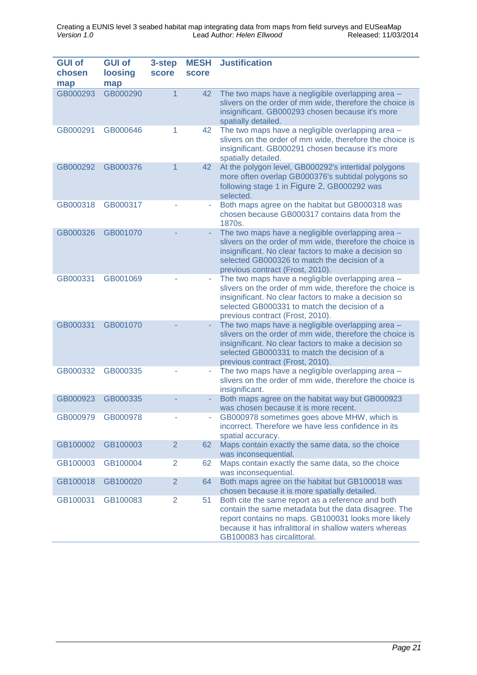| <b>GUI of</b><br>chosen<br>map | <b>GUI of</b><br>loosing<br>map | 3-step<br><b>score</b> | <b>MESH</b><br><b>score</b> | <b>Justification</b>                                                                                                                                                                                                                                       |
|--------------------------------|---------------------------------|------------------------|-----------------------------|------------------------------------------------------------------------------------------------------------------------------------------------------------------------------------------------------------------------------------------------------------|
| GB000293                       | GB000290                        |                        | 42                          | The two maps have a negligible overlapping area -<br>slivers on the order of mm wide, therefore the choice is<br>insignificant. GB000293 chosen because it's more<br>spatially detailed.                                                                   |
| GB000291                       | GB000646                        | 1                      | 42                          | The two maps have a negligible overlapping area -<br>slivers on the order of mm wide, therefore the choice is<br>insignificant. GB000291 chosen because it's more<br>spatially detailed.                                                                   |
| GB000292                       | GB000376                        |                        | 42                          | At the polygon level, GB000292's intertidal polygons<br>more often overlap GB000376's subtidal polygons so<br>following stage 1 in Figure 2, GB000292 was<br>selected.                                                                                     |
| GB000318                       | GB000317                        |                        |                             | Both maps agree on the habitat but GB000318 was<br>chosen because GB000317 contains data from the<br>1870s.                                                                                                                                                |
| GB000326                       | GB001070                        |                        |                             | The two maps have a negligible overlapping area -<br>slivers on the order of mm wide, therefore the choice is<br>insignificant. No clear factors to make a decision so<br>selected GB000326 to match the decision of a<br>previous contract (Frost, 2010). |
| GB000331                       | GB001069                        |                        |                             | The two maps have a negligible overlapping area -<br>slivers on the order of mm wide, therefore the choice is<br>insignificant. No clear factors to make a decision so<br>selected GB000331 to match the decision of a<br>previous contract (Frost, 2010). |
| GB000331                       | GB001070                        |                        |                             | The two maps have a negligible overlapping area -<br>slivers on the order of mm wide, therefore the choice is<br>insignificant. No clear factors to make a decision so<br>selected GB000331 to match the decision of a<br>previous contract (Frost, 2010). |
| GB000332                       | GB000335                        |                        | ÷                           | The two maps have a negligible overlapping area -<br>slivers on the order of mm wide, therefore the choice is<br>insignificant.                                                                                                                            |
| GB000923                       | GB000335                        |                        |                             | Both maps agree on the habitat way but GB000923<br>was chosen because it is more recent.                                                                                                                                                                   |
| GB000979 GB000978              |                                 |                        |                             | GB000978 sometimes goes above MHW, which is<br>incorrect. Therefore we have less confidence in its<br>spatial accuracy.                                                                                                                                    |
| GB100002                       | GB100003                        | 2                      | 62                          | Maps contain exactly the same data, so the choice<br>was inconsequential.                                                                                                                                                                                  |
| GB100003                       | GB100004                        | $\overline{2}$         | 62                          | Maps contain exactly the same data, so the choice<br>was inconsequential.                                                                                                                                                                                  |
| GB100018                       | GB100020                        | $\overline{2}$         | 64                          | Both maps agree on the habitat but GB100018 was<br>chosen because it is more spatially detailed.                                                                                                                                                           |
| GB100031                       | GB100083                        | $\overline{2}$         | 51                          | Both cite the same report as a reference and both<br>contain the same metadata but the data disagree. The<br>report contains no maps. GB100031 looks more likely<br>because it has infralittoral in shallow waters whereas<br>GB100083 has circalittoral.  |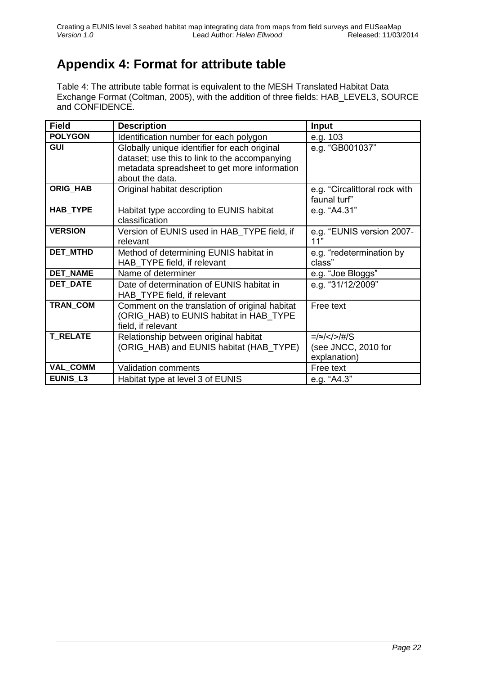# <span id="page-21-0"></span>**Appendix 4: Format for attribute table**

Table 4: The attribute table format is equivalent to the MESH Translated Habitat Data Exchange Format (Coltman, 2005), with the addition of three fields: HAB\_LEVEL3, SOURCE and CONFIDENCE.

| <b>Field</b>    | <b>Description</b>                                                                                                                                               | Input                                           |
|-----------------|------------------------------------------------------------------------------------------------------------------------------------------------------------------|-------------------------------------------------|
| <b>POLYGON</b>  | Identification number for each polygon                                                                                                                           | e.g. 103                                        |
| <b>GUI</b>      | Globally unique identifier for each original<br>dataset; use this to link to the accompanying<br>metadata spreadsheet to get more information<br>about the data. | e.g. "GB001037"                                 |
| <b>ORIG_HAB</b> | Original habitat description                                                                                                                                     | e.g. "Circalittoral rock with<br>faunal turf"   |
| <b>HAB TYPE</b> | Habitat type according to EUNIS habitat<br>classification                                                                                                        | e.g. "A4.31"                                    |
| <b>VERSION</b>  | Version of EUNIS used in HAB_TYPE field, if<br>relevant                                                                                                          | e.g. "EUNIS version 2007-<br>11"                |
| <b>DET MTHD</b> | Method of determining EUNIS habitat in<br>HAB_TYPE field, if relevant                                                                                            | e.g. "redetermination by<br>class"              |
| <b>DET_NAME</b> | Name of determiner                                                                                                                                               | e.g. "Joe Bloggs"                               |
| <b>DET DATE</b> | Date of determination of EUNIS habitat in<br>HAB_TYPE field, if relevant                                                                                         | e.g. "31/12/2009"                               |
| TRAN_COM        | Comment on the translation of original habitat<br>(ORIG_HAB) to EUNIS habitat in HAB_TYPE<br>field, if relevant                                                  | Free text                                       |
| <b>T_RELATE</b> | Relationship between original habitat<br>(ORIG_HAB) and EUNIS habitat (HAB_TYPE)                                                                                 | =/≈//#/S<br>(see JNCC, 2010 for<br>explanation) |
| <b>VAL_COMM</b> | <b>Validation comments</b>                                                                                                                                       | Free text                                       |
| EUNIS_L3        | Habitat type at level 3 of EUNIS                                                                                                                                 | e.g. "A4.3"                                     |